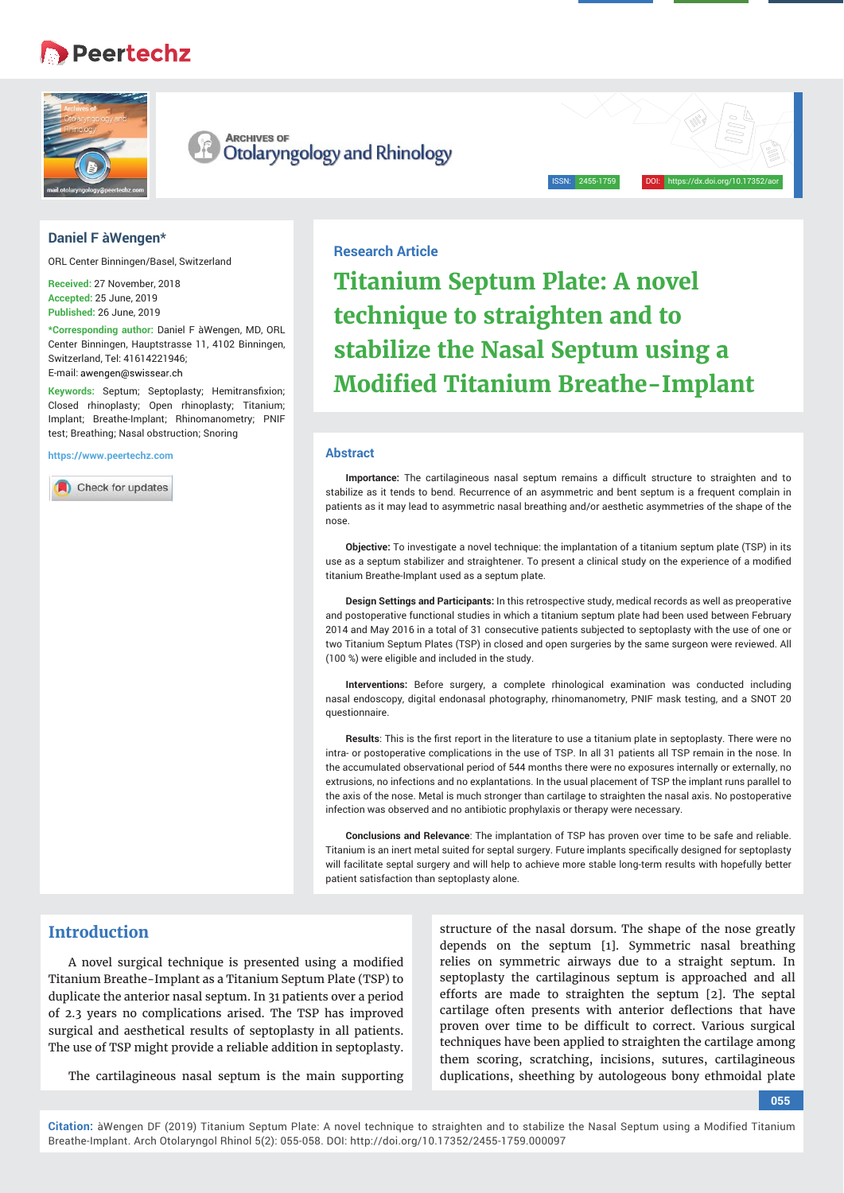# • Peertechz



**ARCHIVES OF** Otolaryngology and Rhinology

## **Daniel F àWengen\***

ORL Center Binningen/Basel, Switzerland

**Received:** 27 November, 2018 **Accepted:** 25 June, 2019 **Published:** 26 June, 2019

**\*Corresponding author:** Daniel F àWengen, MD, ORL Center Binningen, Hauptstrasse 11, 4102 Binningen, Switzerland, Tel: 41614221946; E-mail: awengen@swissear.ch

Keywords: Septum; Septoplasty; Hemitransfixion; Closed rhinoplasty; Open rhinoplasty; Titanium; Implant; Breathe-Implant; Rhinomanometry; PNIF test; Breathing; Nasal obstruction; Snoring

**https://www.peertechz.com**

Check for updates

# **Research Article**

**Titanium Septum Plate: A novel technique to straighten and to stabilize the Nasal Septum using a Modified Titanium Breathe-Implant** 

ISSN: 2455-1759 DOI: https://dx.doi.org/10.17352/aor

#### **Abstract**

**Importance:** The cartilagineous nasal septum remains a difficult structure to straighten and to stabilize as it tends to bend. Recurrence of an asymmetric and bent septum is a frequent complain in patients as it may lead to asymmetric nasal breathing and/or aesthetic asymmetries of the shape of the nose.

**Objective:** To investigate a novel technique: the implantation of a titanium septum plate (TSP) in its use as a septum stabilizer and straightener. To present a clinical study on the experience of a modified titanium Breathe-Implant used as a septum plate.

**Design Settings and Participants:** In this retrospective study, medical records as well as preoperative and postoperative functional studies in which a titanium septum plate had been used between February 2014 and May 2016 in a total of 31 consecutive patients subjected to septoplasty with the use of one or two Titanium Septum Plates (TSP) in closed and open surgeries by the same surgeon were reviewed. All (100 %) were eligible and included in the study.

**Interventions:** Before surgery, a complete rhinological examination was conducted including nasal endoscopy, digital endonasal photography, rhinomanometry, PNIF mask testing, and a SNOT 20 questionnaire.

Results: This is the first report in the literature to use a titanium plate in septoplasty. There were no intra- or postoperative complications in the use of TSP. In all 31 patients all TSP remain in the nose. In the accumulated observational period of 544 months there were no exposures internally or externally, no extrusions, no infections and no explantations. In the usual placement of TSP the implant runs parallel to the axis of the nose. Metal is much stronger than cartilage to straighten the nasal axis. No postoperative infection was observed and no antibiotic prophylaxis or therapy were necessary.

**Conclusions and Relevance**: The implantation of TSP has proven over time to be safe and reliable. Titanium is an inert metal suited for septal surgery. Future implants specifically designed for septoplasty will facilitate septal surgery and will help to achieve more stable long-term results with hopefully better patient satisfaction than septoplasty alone.

## **Introduction**

A novel surgical technique is presented using a modified Titanium Breathe-Implant as a Titanium Septum Plate (TSP) to duplicate the anterior nasal septum. In 31 patients over a period of 2.3 years no complications arised. The TSP has improved surgical and aesthetical results of septoplasty in all patients. The use of TSP might provide a reliable addition in septoplasty.

The cartilagineous nasal septum is the main supporting

structure of the nasal dorsum. The shape of the nose greatly depends on the septum [1]. Symmetric nasal breathing relies on symmetric airways due to a straight septum. In septoplasty the cartilaginous septum is approached and all efforts are made to straighten the septum [2]. The septal cartilage often presents with anterior deflections that have proven over time to be difficult to correct. Various surgical techniques have been applied to straighten the cartilage among them scoring, scratching, incisions, sutures, cartilagineous duplications, sheething by autologeous bony ethmoidal plate

#### **055**

**Citation:** àWengen DF (2019) Titanium Septum Plate: A novel technique to straighten and to stabilize the Nasal Septum using a Modified Titanium Breathe-Implant. Arch Otolaryngol Rhinol 5(2): 055-058. DOI: http://doi.org/10.17352/2455-1759.000097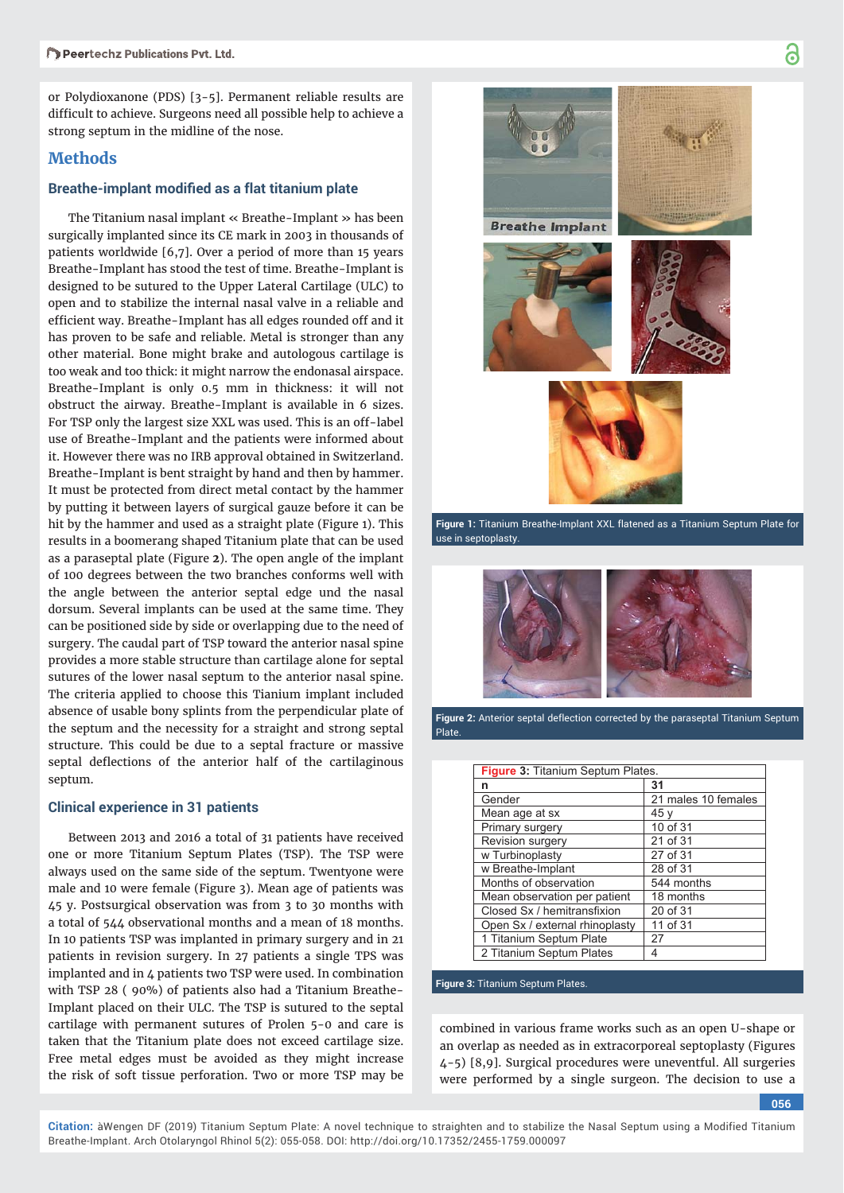or Polydioxanone (PDS) [3-5]. Permanent reliable results are difficult to achieve. Surgeons need all possible help to achieve a strong septum in the midline of the nose.

## **Methods**

#### **Breathe-implant modified as a flat titanium plate**

The Titanium nasal implant « Breathe-Implant » has been surgically implanted since its CE mark in 2003 in thousands of patients worldwide [6,7]. Over a period of more than 15 years Breathe-Implant has stood the test of time. Breathe-Implant is designed to be sutured to the Upper Lateral Cartilage (ULC) to open and to stabilize the internal nasal valve in a reliable and efficient way. Breathe-Implant has all edges rounded off and it has proven to be safe and reliable. Metal is stronger than any other material. Bone might brake and autologous cartilage is too weak and too thick: it might narrow the endonasal airspace. Breathe-Implant is only 0.5 mm in thickness: it will not obstruct the airway. Breathe-Implant is available in 6 sizes. For TSP only the largest size XXL was used. This is an off-label use of Breathe-Implant and the patients were informed about it. However there was no IRB approval obtained in Switzerland. Breathe-Implant is bent straight by hand and then by hammer. It must be protected from direct metal contact by the hammer by putting it between layers of surgical gauze before it can be hit by the hammer and used as a straight plate (Figure 1). This results in a boomerang shaped Titanium plate that can be used as a paraseptal plate (Figure **2**). The open angle of the implant of 100 degrees between the two branches conforms well with the angle between the anterior septal edge und the nasal dorsum. Several implants can be used at the same time. They can be positioned side by side or overlapping due to the need of surgery. The caudal part of TSP toward the anterior nasal spine provides a more stable structure than cartilage alone for septal sutures of the lower nasal septum to the anterior nasal spine. The criteria applied to choose this Tianium implant included absence of usable bony splints from the perpendicular plate of the septum and the necessity for a straight and strong septal structure. This could be due to a septal fracture or massive septal deflections of the anterior half of the cartilaginous septum.

#### **Clinical experience in 31 patients**

Between 2013 and 2016 a total of 31 patients have received one or more Titanium Septum Plates (TSP). The TSP were always used on the same side of the septum. Twentyone were male and 10 were female (Figure 3). Mean age of patients was 45 y. Postsurgical observation was from 3 to 30 months with a total of 544 observational months and a mean of 18 months. In 10 patients TSP was implanted in primary surgery and in 21 patients in revision surgery. In 27 patients a single TPS was implanted and in 4 patients two TSP were used. In combination with TSP 28 ( 90%) of patients also had a Titanium Breathe-Implant placed on their ULC. The TSP is sutured to the septal cartilage with permanent sutures of Prolen 5-0 and care is taken that the Titanium plate does not exceed cartilage size. Free metal edges must be avoided as they might increase the risk of soft tissue perforation. Two or more TSP may be



Figure 1: Titanium Breathe-Implant XXL flatened as a Titanium Septum Plate for use in septoplasty.



Figure 2: Anterior septal deflection corrected by the paraseptal Titanium Septum Plate.

| <b>Figure 3: Titanium Septum Plates.</b> |                     |
|------------------------------------------|---------------------|
| n                                        | 31                  |
| Gender                                   | 21 males 10 females |
| Mean age at sx                           | 45 v                |
| Primary surgery                          | 10 of 31            |
| Revision surgery                         | 21 of 31            |
| w Turbinoplasty                          | 27 of 31            |
| w Breathe-Implant                        | 28 of 31            |
| Months of observation                    | 544 months          |
| Mean observation per patient             | 18 months           |
| Closed Sx / hemitransfixion              | 20 of 31            |
| Open Sx / external rhinoplasty           | 11 of 31            |
| 1 Titanium Septum Plate                  | 27                  |
| 2 Titanium Septum Plates                 | 4                   |

**Figure 3:** Titanium Septum Plates.

combined in various frame works such as an open U-shape or an overlap as needed as in extracorporeal septoplasty (Figures 4-5) [8,9]. Surgical procedures were uneventful. All surgeries were performed by a single surgeon. The decision to use a

**056**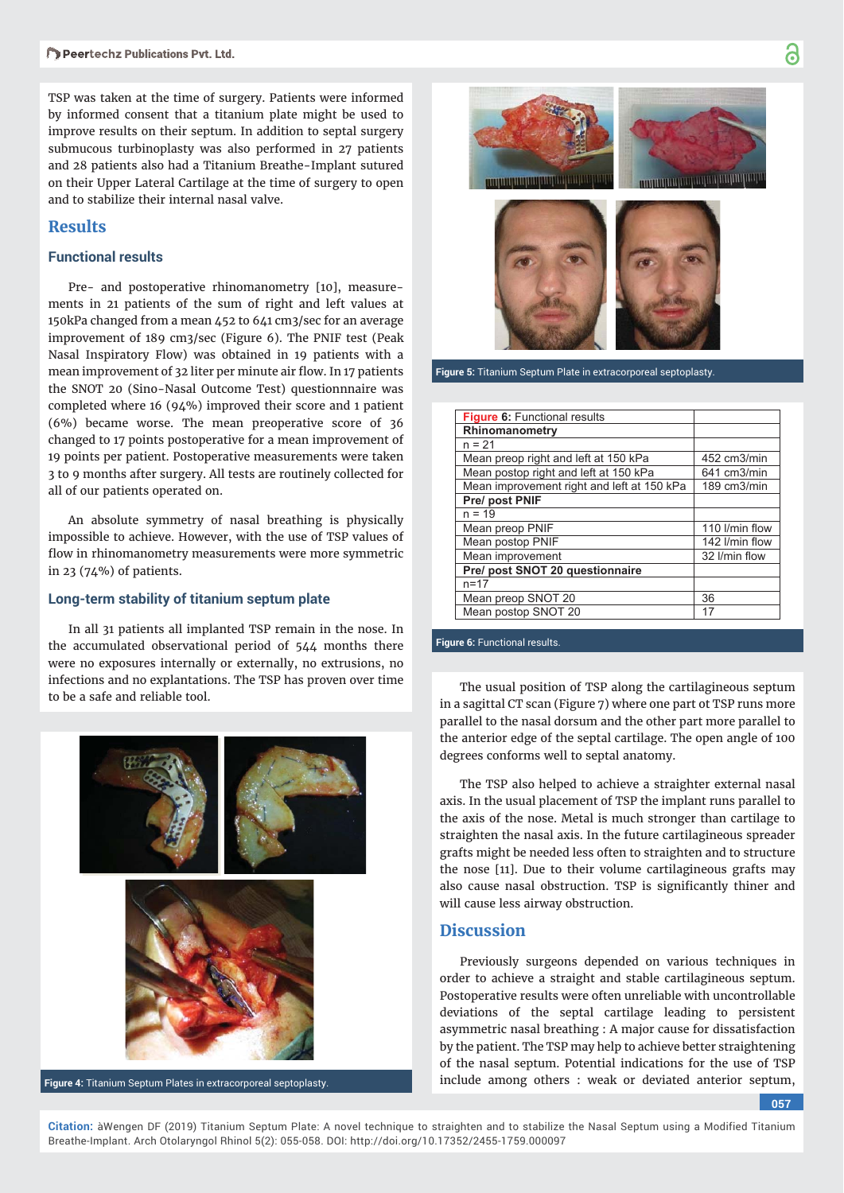TSP was taken at the time of surgery. Patients were informed by informed consent that a titanium plate might be used to improve results on their septum. In addition to septal surgery submucous turbinoplasty was also performed in 27 patients and 28 patients also had a Titanium Breathe-Implant sutured on their Upper Lateral Cartilage at the time of surgery to open and to stabilize their internal nasal valve.

## **Results**

## **Functional results**

Pre- and postoperative rhinomanometry [10], measurements in 21 patients of the sum of right and left values at 150kPa changed from a mean 452 to 641 cm3/sec for an average improvement of 189 cm3/sec (Figure 6). The PNIF test (Peak Nasal Inspiratory Flow) was obtained in 19 patients with a mean improvement of 32 liter per minute air flow. In 17 patients the SNOT 20 (Sino-Nasal Outcome Test) questionnnaire was completed where 16 (94%) improved their score and 1 patient (6%) became worse. The mean preoperative score of 36 changed to 17 points postoperative for a mean improvement of 19 points per patient. Postoperative measurements were taken 3 to 9 months after surgery. All tests are routinely collected for all of our patients operated on.

An absolute symmetry of nasal breathing is physically impossible to achieve. However, with the use of TSP values of flow in rhinomanometry measurements were more symmetric in 23 (74%) of patients.

## **Long-term stability of titanium septum plate**

In all 31 patients all implanted TSP remain in the nose. In the accumulated observational period of 544 months there were no exposures internally or externally, no extrusions, no infections and no explantations. The TSP has proven over time to be a safe and reliable tool.<br>The usual position of TSP along the cartilagineous septum<br> $\frac{1}{100}$  and reliable tool.



Breathe-Implant. Arch Otolaryngol Rhinol 5(2): 055-058. DOI: http://doi.org/10.17352/2455-1759.000097

**Figure 4:** Titanium Septum Plates in extracorporeal septoplasty.



**Figure 5:** Titanium Septum Plate in extracorporeal septoplasty.

| Figure 6: Functional results               |                |
|--------------------------------------------|----------------|
| Rhinomanometry                             |                |
| $n = 21$                                   |                |
| Mean preop right and left at 150 kPa       | 452 cm3/min    |
| Mean postop right and left at 150 kPa      | 641 cm3/min    |
| Mean improvement right and left at 150 kPa | 189 cm3/min    |
| Pre/ post PNIF                             |                |
| $n = 19$                                   |                |
| Mean preop PNIF                            | 110 I/min flow |
| Mean postop PNIF                           | 142 I/min flow |
| Mean improvement                           | 32 I/min flow  |
| Pre/ post SNOT 20 questionnaire            |                |
| $n = 17$                                   |                |
| Mean preop SNOT 20                         | 36             |
| Mean postop SNOT 20                        | 17             |

### **Figure 6:** Functional results.

in a sagittal CT scan (Figure 7) where one part ot TSP runs more parallel to the nasal dorsum and the other part more parallel to the anterior edge of the septal cartilage. The open angle of 100 degrees conforms well to septal anatomy.

The TSP also helped to achieve a straighter external nasal axis. In the usual placement of TSP the implant runs parallel to the axis of the nose. Metal is much stronger than cartilage to straighten the nasal axis. In the future cartilagineous spreader grafts might be needed less often to straighten and to structure the nose [11]. Due to their volume cartilagineous grafts may also cause nasal obstruction. TSP is significantly thiner and will cause less airway obstruction.

## **Discussion**

Previously surgeons depended on various techniques in order to achieve a straight and stable cartilagineous septum. Postoperative results were often unreliable with uncontrollable deviations of the septal cartilage leading to persistent asymmetric nasal breathing : A major cause for dissatisfaction by the patient. The TSP may help to achieve better straightening of the nasal septum. Potential indications for the use of TSP include among others : weak or deviated anterior septum,

**057**